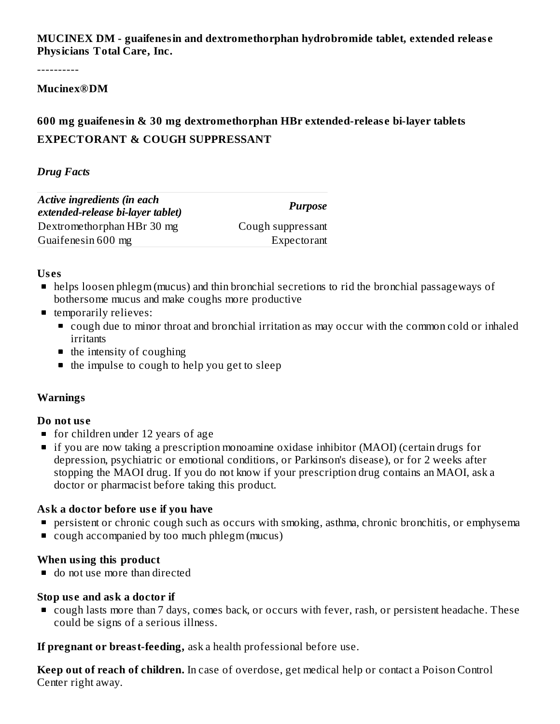**MUCINEX DM - guaifenesin and dextromethorphan hydrobromide tablet, extended releas e Physicians Total Care, Inc.**

----------

#### **Mucinex®DM**

# **600 mg guaifenesin & 30 mg dextromethorphan HBr extended-releas e bi-layer tablets EXPECTORANT & COUGH SUPPRESSANT**

#### *Drug Facts*

| Active ingredients (in each<br>extended-release bi-layer tablet) | <b>Purpose</b>    |
|------------------------------------------------------------------|-------------------|
| Dextromethorphan HBr 30 mg                                       | Cough suppressant |
| Guaifenesin 600 mg                                               | Expectorant       |

#### **Us es**

- helps loosen phlegm (mucus) and thin bronchial secretions to rid the bronchial passageways of bothersome mucus and make coughs more productive
- **temporarily relieves:** 
	- cough due to minor throat and bronchial irritation as may occur with the common cold or inhaled irritants
	- $\blacksquare$  the intensity of coughing
	- $\blacksquare$  the impulse to cough to help you get to sleep

#### **Warnings**

#### **Do not us e**

- **for children under 12 years of age**
- if you are now taking a prescription monoamine oxidase inhibitor (MAOI) (certain drugs for depression, psychiatric or emotional conditions, or Parkinson's disease), or for 2 weeks after stopping the MAOI drug. If you do not know if your prescription drug contains an MAOI, ask a doctor or pharmacist before taking this product.

#### **Ask a doctor before us e if you have**

- **P** persistent or chronic cough such as occurs with smoking, asthma, chronic bronchitis, or emphysema
- cough accompanied by too much phlegm (mucus)

#### **When using this product**

■ do not use more than directed

#### **Stop us e and ask a doctor if**

■ cough lasts more than 7 days, comes back, or occurs with fever, rash, or persistent headache. These could be signs of a serious illness.

**If pregnant or breast-feeding,** ask a health professional before use.

**Keep out of reach of children.** In case of overdose, get medical help or contact a Poison Control Center right away.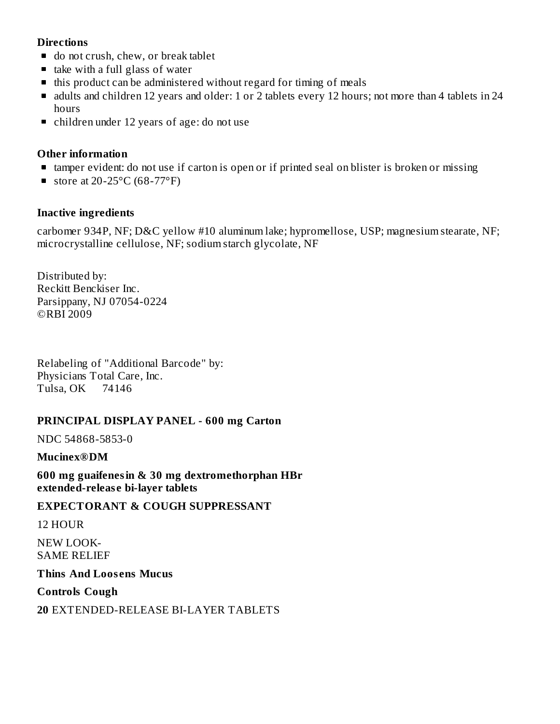#### **Directions**

- $\blacksquare$  do not crush, chew, or break tablet
- $\blacksquare$  take with a full glass of water
- $\blacksquare$  this product can be administered without regard for timing of meals
- dults and children 12 years and older: 1 or 2 tablets every 12 hours; not more than 4 tablets in 24 hours
- children under 12 years of age: do not use

## **Other information**

- tamper evident: do not use if carton is open or if printed seal on blister is broken or missing
- store at 20-25 $\mathrm{^{\circ}C}$  (68-77 $\mathrm{^{\circ}F}$ )

## **Inactive ingredients**

carbomer 934P, NF; D&C yellow #10 aluminum lake; hypromellose, USP; magnesium stearate, NF; microcrystalline cellulose, NF; sodium starch glycolate, NF

Distributed by: Reckitt Benckiser Inc. Parsippany, NJ 07054-0224 ©RBI 2009

Relabeling of "Additional Barcode" by: Physicians Total Care, Inc. Tulsa, OK 74146

## **PRINCIPAL DISPLAY PANEL - 600 mg Carton**

NDC 54868-5853-0

#### **Mucinex®DM**

**600 mg guaifenesin & 30 mg dextromethorphan HBr extended-releas e bi-layer tablets**

#### **EXPECTORANT & COUGH SUPPRESSANT**

#### 12 HOUR

NEW LOOK-SAME RELIEF

**Thins And Loos ens Mucus**

**Controls Cough**

**20** EXTENDED-RELEASE BI-LAYER TABLETS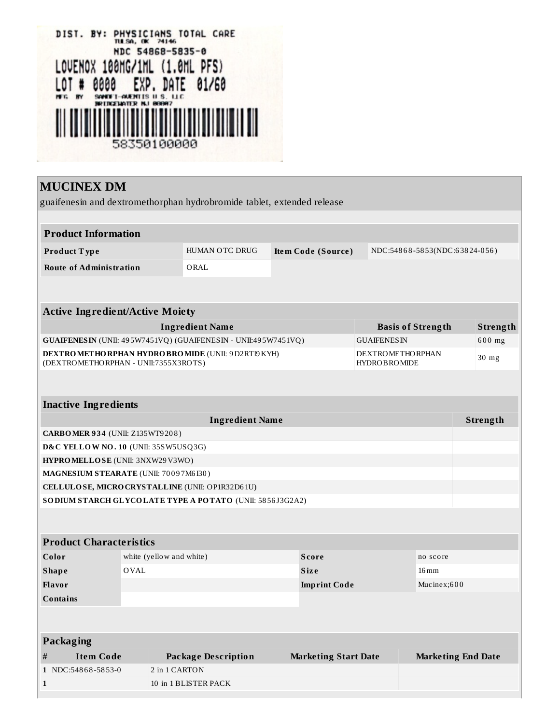| PHYSICIANS TOTAL CARE<br>DIST. BY:<br>THE SA, OK 74146 |
|--------------------------------------------------------|
| NDC 54868-5835-0                                       |
| LOVENOX 100MG/1ML (1.0ML PFS)                          |
| 0000 EXP. DATE 01/60<br>LOT #                          |
| SANDET-AUENTIS II S. LLC<br>CELIATER N.I REERZ         |
|                                                        |
| 58350100000                                            |

# **MUCINEX DM**

 $\mathbf 1$ 

guaifenesin and dextromethorphan hydrobromide tablet, extended release

 $10\,$  in  $1\,\mathrm{BLISTER}$  PACK

|                                                                                      | <b>Product Information</b>             |                                                                       |               |                                                  |  |                             |                                                |                           |        |          |
|--------------------------------------------------------------------------------------|----------------------------------------|-----------------------------------------------------------------------|---------------|--------------------------------------------------|--|-----------------------------|------------------------------------------------|---------------------------|--------|----------|
|                                                                                      | Product Type                           | HUMAN OTC DRUG<br>Item Code (Source)<br>NDC:54868-5853(NDC:63824-056) |               |                                                  |  |                             |                                                |                           |        |          |
|                                                                                      | <b>Route of Administration</b>         |                                                                       |               | ORAL                                             |  |                             |                                                |                           |        |          |
|                                                                                      |                                        |                                                                       |               |                                                  |  |                             |                                                |                           |        |          |
|                                                                                      |                                        |                                                                       |               |                                                  |  |                             |                                                |                           |        |          |
|                                                                                      | <b>Active Ingredient/Active Moiety</b> |                                                                       |               |                                                  |  |                             |                                                |                           |        |          |
|                                                                                      |                                        |                                                                       |               | <b>Ingredient Name</b>                           |  |                             | <b>Basis of Strength</b>                       |                           |        | Strength |
| GUAIFENESIN (UNII: 495W7451VQ) (GUAIFENESIN - UNII:495W7451VQ)<br><b>GUAIFENESIN</b> |                                        |                                                                       |               |                                                  |  |                             |                                                |                           | 600 mg |          |
|                                                                                      | (DEXTROMETHORPHAN - UNII:7355X3ROTS)   |                                                                       |               | DEXTROMETHORPHAN HYDROBROMIDE (UNII: 9D2RTI9KYH) |  |                             | <b>DEXTROMETHORPHAN</b><br><b>HYDROBROMIDE</b> |                           |        | $30$ mg  |
|                                                                                      |                                        |                                                                       |               |                                                  |  |                             |                                                |                           |        |          |
|                                                                                      |                                        |                                                                       |               |                                                  |  |                             |                                                |                           |        |          |
| <b>Inactive Ingredients</b>                                                          |                                        |                                                                       |               |                                                  |  |                             |                                                |                           |        |          |
|                                                                                      |                                        |                                                                       |               | <b>Ingredient Name</b>                           |  |                             |                                                |                           |        | Strength |
|                                                                                      | <b>CARBOMER 934 (UNII: Z135WT9208)</b> |                                                                       |               |                                                  |  |                             |                                                |                           |        |          |
|                                                                                      | D&C YELLOW NO. 10 (UNII: 35SW5USQ3G)   |                                                                       |               |                                                  |  |                             |                                                |                           |        |          |
|                                                                                      | HYPROMELLOSE (UNII: 3NXW29V3WO)        |                                                                       |               |                                                  |  |                             |                                                |                           |        |          |
|                                                                                      | MAGNESIUM STEARATE (UNII: 70097M6I30)  |                                                                       |               |                                                  |  |                             |                                                |                           |        |          |
|                                                                                      |                                        |                                                                       |               | CELLULOSE, MICRO CRYSTALLINE (UNII: OP1R32D61U)  |  |                             |                                                |                           |        |          |
| SO DIUM STARCH GLYCOLATE TYPE A POTATO (UNII: 5856J3G2A2)                            |                                        |                                                                       |               |                                                  |  |                             |                                                |                           |        |          |
|                                                                                      |                                        |                                                                       |               |                                                  |  |                             |                                                |                           |        |          |
|                                                                                      |                                        |                                                                       |               |                                                  |  |                             |                                                |                           |        |          |
|                                                                                      | <b>Product Characteristics</b>         |                                                                       |               |                                                  |  |                             |                                                |                           |        |          |
| Color<br>white (yellow and white)                                                    |                                        |                                                                       |               | <b>Score</b>                                     |  |                             | no score                                       |                           |        |          |
| <b>OVAL</b><br><b>Shape</b>                                                          |                                        |                                                                       | <b>Size</b>   | $16 \,\mathrm{mm}$                               |  |                             |                                                |                           |        |          |
| Flavor<br><b>Imprint Code</b>                                                        |                                        |                                                                       | Mucinex;600   |                                                  |  |                             |                                                |                           |        |          |
| <b>Contains</b>                                                                      |                                        |                                                                       |               |                                                  |  |                             |                                                |                           |        |          |
|                                                                                      |                                        |                                                                       |               |                                                  |  |                             |                                                |                           |        |          |
|                                                                                      | Packaging                              |                                                                       |               |                                                  |  |                             |                                                |                           |        |          |
| #                                                                                    | <b>Item Code</b>                       |                                                                       |               | <b>Package Description</b>                       |  | <b>Marketing Start Date</b> |                                                | <b>Marketing End Date</b> |        |          |
|                                                                                      | 1 NDC:54868-5853-0                     |                                                                       | 2 in 1 CARTON |                                                  |  |                             |                                                |                           |        |          |